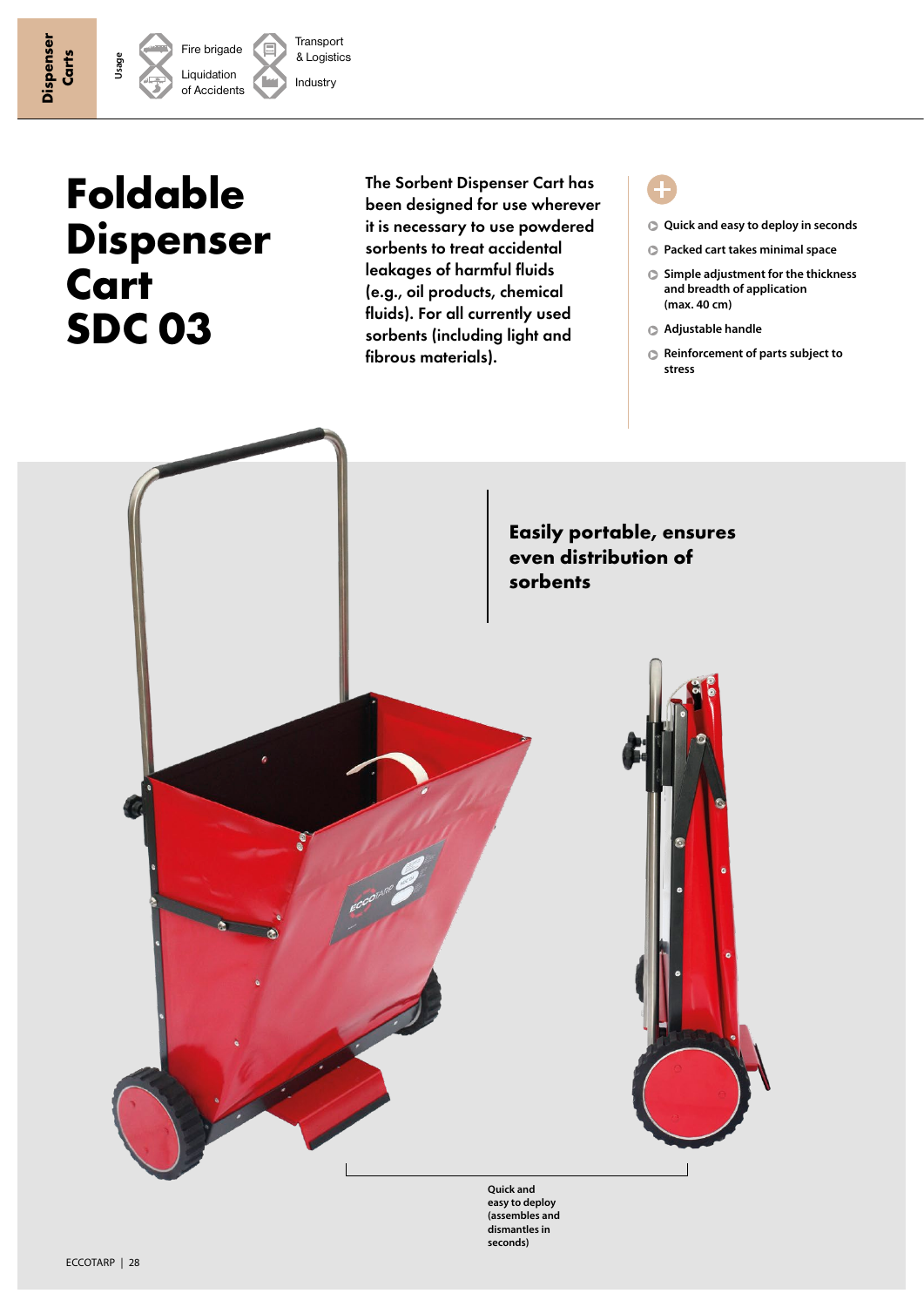## **Dispenser Carts Usage** Fire brigade Transport & Logistics Liquidation **Liquidation** of Accidents

## **Foldable Dispenser Cart SDC 03**

The Sorbent Dispenser Cart has been designed for use wherever it is necessary to use powdered sorbents to treat accidental leakages of harmful fluids (e.g., oil products, chemical fluids). For all currently used sorbents (including light and fibrous materials).

- q **Quick and easy to deploy in seconds**
- q **Packed cart takes minimal space**
- q **Simple adjustment for the thickness and breadth of application (max. 40 cm)**
- q **Adjustable handle**
- q **Reinforcement of parts subject to stress**



**Quick and easy to deploy (assembles and dismantles in seconds)**